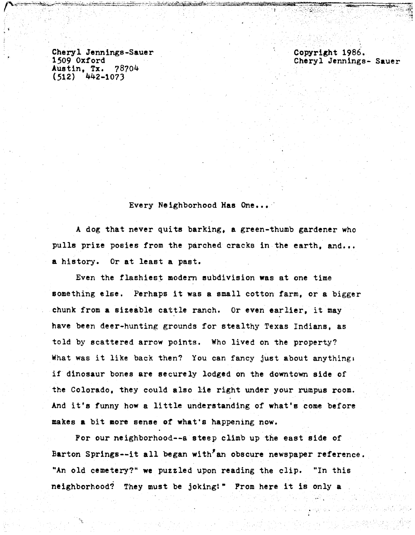Cheryl Jennings-Sauer<br>1509 Oxford<br>Austin, Tx. 78704 Austin, Tx. ?8704 (512) 442-1073

Copyright 1986. Cheryl Jennings- Sauer

Every Neighborhood Has One...

A dog that never quits barking. a green-thumb gardener who pulls prize posies from the parched cracks in the earth, and... a history. Or at least a past.

Even the flashiest modern subdivision was at one time something else. Perhaps it was a small cotton farm, or a bigger chunk from a sizeable cattle ranch. Or even earlier, it may have been deer-hunting grounds for stealthy Texas Indians, as told by scattered arrow points. Who lived on the property? What was it like back then? You can fancy just about anythings if dinosaur bones are securely lodged on the downtown side *of*  the Colorado, they could also lie right under your rumpus room. And it's funny how a little understanding of what's come before makes a bit aore sense or what's happening now.

For our neighborhood--a steep climb up the east side of Barton Springs--it all began with'an obscure newspaper reference. "An old cemetery?" we puzzled upon reading the clip. "In this neighborhood? They must be joking!" Prom here it is only a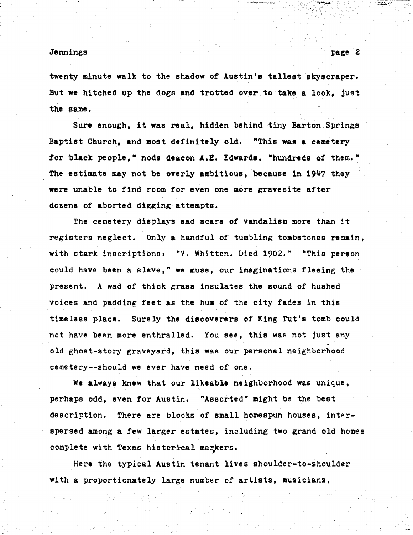twenty minute walk to the shadow of Austin's tallest skyscraper. But we hitched up the dogs and trotted over to take a look. just the same.

Sure enough, it was real, hidden behind tiny Barton Springs Baptist Church, and most definitely old. "This was a cemetery for black people." nods deacon A.E. Edwards. "hundreds of them." The estimate may not be overly ambitious. because in 1947 they were unable to find room for even one more gravesite after dozens of aborted digging attempts.

The cemetery displays sad scars of vandalism more than it registers neglect. Only a handful of tumbling tombstones remain, with stark inscriptions: "V. Whitten. Died 1902." "This person could have been a slave," we muse, our imaginations fleeing the present. A wad of thick grass insulates the sound of hushed voices and padding feet as the hum of the city fades in this timeless place. Surely the discoverers of King Tut's tomb could not have been more enthralled. You see, this was not just any old ghost-story graveyard, this was our personal neighborhood cemetery--should we ever have need of one.

We always knew that our likeable neighborhood was unique, perhaps odd, even for Austin. "Assorted" might be the best description. There are blocks of small homespun houses, interspersed among a few larger estates, including two grand old homes complete with Texas historical markers.

Here the typical Austin tenant lives shoulder-to-shoulder with a proportionately large number of artists, musicians,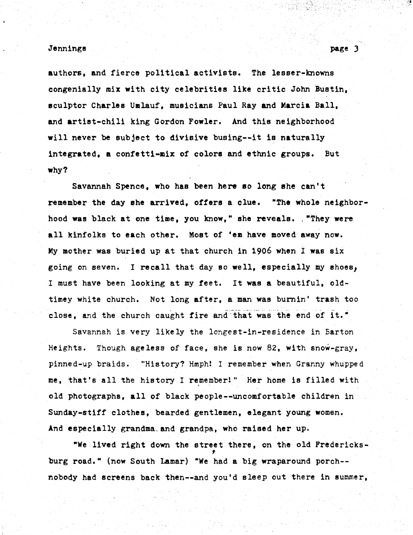#### Jennings and the set of the set of the set of the set of the set of the set of the set of the set of the set of the set of the set of the set of the set of the set of the set of the set of the set of the set of the set of

authors, and fierce political activists. The lesser-knowns congenially mix with city celebrities like critic John Bustin, sculptor Charles Umlauf, musicians Paul Ray and Marcia Ball, and artist-chili king Gordon Fowler. And this neighborhood will never be subject to divisive busing--it is naturally integrated, a confetti-mix of colors and ethnic groups. But why?

Savannah Spence, who has been here so long she can't remember the day she arrived, offers a clue. "The whole neighborhood was black at one time, you know," she reveals. . "They were all kinfolks to each other. Most of 'em have moved away now. My mother was buried up at that church in 1906 when I was six going on seven. I recall that day so well, especially my shoes; I must have been looking at my feet. It was a beautiful, oldtimey white church. Not long after, a man was burnin' trash too close, and the church caught fire and that was the end of it."

Savannah is very likely the longest-in-residence in Barton Heights. Though ageless of face, she is now 82, with snow-gray, pinned-up braids. "History? Hmph! I remember when Granny whupped me, that's all the history I remember!" Her home is filled with old photographs, all of black people--uncomfortable children in Sunday-stiff clothes, bearded gentlemen, elegant young women. And especially grandma. and grandpa, who raised her up.

"We lived right down the street there, on the old Fredericksburg road." (now South Lamar) "We had a big wraparound porch- nobody had screens back then--and you'd sleep out there in summer,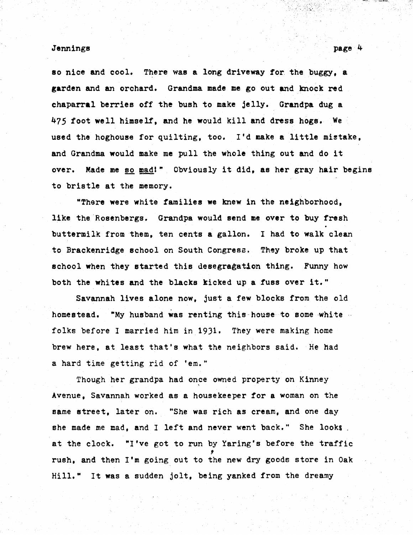so nice and cool. There was a long driveway for the buggy, a garden and an orchard. Grandma made me go out and knock red chaparral berries off the bush to make jelly. Grandpa dug a 475 foot well himself, and he would kill and dress hogs. We used the hoghouse for quilting, too. I'd make a little mistake, and Grandma would make me pull the whole thing out and do it over. Made me so mad!" Obviously it did, as her gray hair begins to bristle at the memory.

"There were white families we knew in the neighborhood, like the Rosenbergs. Grandpa would send me over to buy fresh buttermilk from them, ten cents a gallon. I had to walk clean to Brackenridge school on South Congress. They broke up that school when they started this desegregation thing. Funny how both the whites and the blacks kicked up a fuss over it."

Savannah lives alone now, just a few blocks from the old homestead. "My husband was renting this house to some white folks before I married him in 19)1. They were making home brew here, at least that's what the neighbors said. He had a hard time getting rid of 'em."

Though her grandpa had once owned property on Kinney Avenue, Savannah worked as a housekeeper for a woman on the same street, later on. '"She was rich as cream, and one day she made me mad, and I left and never went back." She looks. at the clock. "I've got to run by Yaring's before the traffic rush, and then I'm going out to the new dry goods store in Oak Hill." It was a sudden jolt, being yanked from the dreamy

.· . ·. *:...:..* .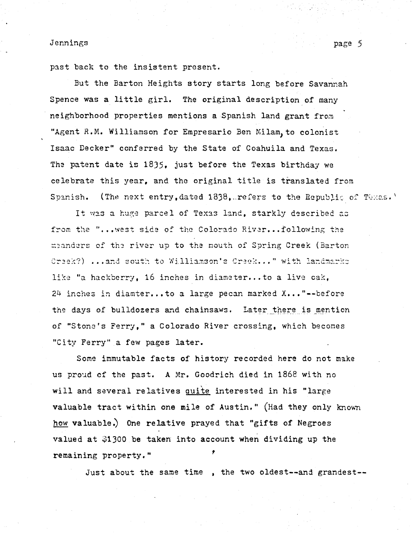past back to the insistent present.

But the Barton Heights story starts long before Savannah Spence was a little girl. The original description of many neighborhood properties mentions a Spanish land grant from "Agent R.M. Williamson for Empresario Ben Milam, to colonist Isaac Decker" conferred by the State of Coahuila and Texas. The patent date is *18)5,* just before the Texas birthday we celebrate this year. and the original title is translated from Spanish. (The next entry,dated 1838, refers to the Republic of Texas.'

It was a huge parcel of Texas land, starkly described as from the "...west side of the Colorado Rivar...following the  $~$ meanders of the river up to the mouth of Spring Creek (Barton Craek?) ...and south to Williamson's Creek..." with landmarks like "a hackberry, 16 inches in diameter...to a live cak, 24 inches in diamter...to a large pecan marked X..."--before the days of bulldozers and chainsaws. Later there is mention of "Stona's Ferry," a Colorado River crossing, which becomes "City Ferry" a few pages later.

Some immutable facts of history recorded here do not make us proud of the past. A Mr. Goodrich died in 1868 with no will and several relatives quite interested in his "large" valuable tract within one mile of Austin." (Had they only known how valuable.) One relative prayed that "gifts of Negroes valued at  $$1300$  be taken into account when dividing up the remaining property."

Just about the same time , the two oldest--and grandest--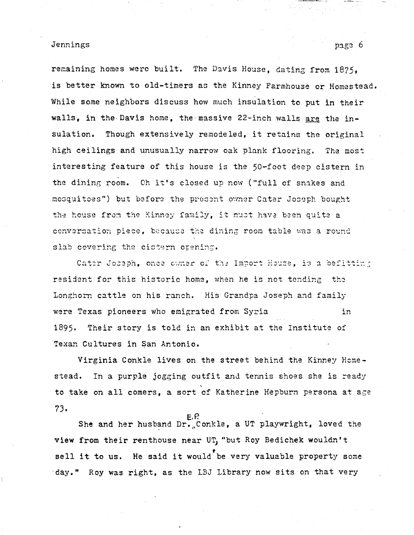remaining homes were built. The Davis House, dating from 1875, is better known to old-timers as the Kinney Farmhouse or Homestead. While some neighbors discuss how much insulation to put in their walls, in the Davis home, the massive 22-inch walls are the insulation. Though extensively remodeled, it retains the original high ceilings and unusually narrow oak plank flooring. The most interesting feature of this house is the 50-foot deep cistern in the dining room. Oh it's closed up now ("full of snakes and mosquitoes") but before the present owner Cater Joseph bought the house from the Kinney family, it must have been quite a conversation piece, because the dining room table was a round slab covering the cistern opening.

Cater Joseph, once owner of the Import House, is a befitting resident for this historic home, when he is not tending the Longhorn cattle on his ranch. His Grandpa Joseph and family were Texas pioneers who emigrated from Syria in 1895. Their story is told in an exhibit at the Institute of Texan Cultures in San Antonio.

Virginia Conkle lives on the street behind the Kinney Hemestead. In a purple jogging outfit and tennis shoes she is ready to take on all comers, a sort of Katherine Hepburn persona at age 7J.

E.P.<br>She and her husband Dr.<sub>n</sub>Conkle, a UT playwright, loved the view from their renthouse near UT, "but Roy Bedichek wouldn't view from their renthouse near UT, "but Koy Bedichek wouldn't<br>sell it to us. He said it would be very valuable property some ·day." Roy was right, as the LBJ Library now sits on that very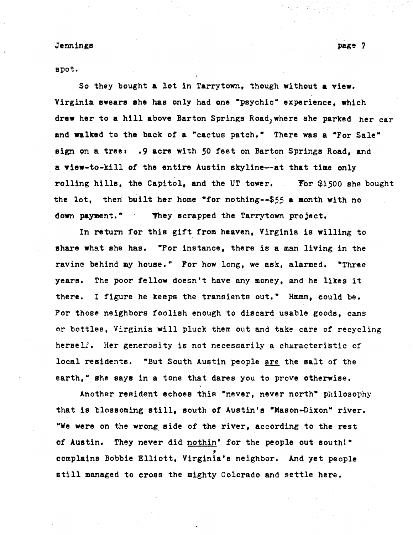spot.

So they bought a lot in Tarrytown, though without a view. Virginia swears she has only had one "psychic" experience, which drew her to a hill above Barton Springs Road, where she parked her car and walked to the back of a "cactus patch." There was a "For Sale" sign on a tree: .9 acre with 50 feet on Barton Springs Road, and . a view-to-kill of the entire Austin skyline--at that time only . rolling hills, the Capitol, and the UT tower. Tor \$1500 she bought the lot, then built her home "for nothing--\$55 a month with no down payment." They scrapped the Tarrytown project.

In return for this gift from heaven, Virginia is willing to share what she has. "For instance, there is a man living in the ravine behind my house." Por how long, we ask, alarmed. "Three years. The poor fellow doesn't have any money, and he likes it there. I figure he keeps the transients out." Hmmm, could be. For those neighbors foolish enough to discard usable goods, cans or bottles, Virginia will pluck them out and take care of recycling herself. Her generosity is not necessarily a characteristic of local residents. "But South Austin people are the salt of the earth," she says in a tone that dares you to prove otherwise.

Another resident echoes this "never, never north" philosophy that is blossoming still, south of Austin's "Mason-Dixon" river. "We were on the wrong side of the river, according to the rest of Austin. They never did  $\frac{\text{nothing}}{\text{1}}$  for the people out south!" complains Bobbie Elliott, Virginia's neighbor. And yet people still managed to cross the mighty Colorado and settle here.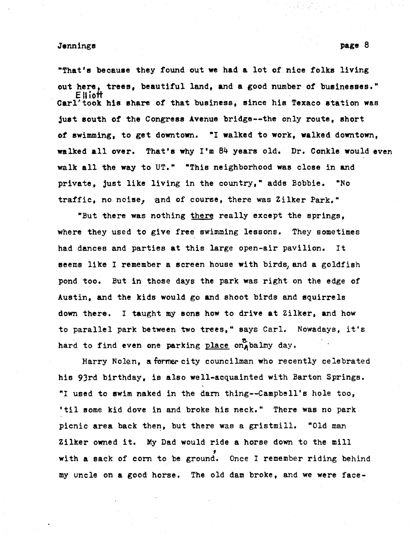"That's because they found out we had a lot of.nice folks living out here, trees, beautiful land, and a good number of businesses." E II iott  $\texttt{Carl}^{\text{1}}$  took his share of that business, since his Texaco station was just south of the Congress Avenue bridge~-the only route, short of swimming, to get downtown. "I walked to work, walked downtown, walked all over. That's why I'm 84 years old. Dr. Conkle would even walk all the way to UT." "This neighborhood was close in and private, just like living in the country," adds Bobbie. "No traffic, no noise, and of course, there was Zilker Park."

"But there was nothing there really except the springs, where they used to give free swimming lessons. They sometimes had dances and parties at this large open-air pavilion. It seems like I remember a screen house with birds, and a goldfish pond too. But in those days the park was right on the edge of Austin, and the kids would go and shoot birds and squirrels down there. I taught my sons how to drive at Zilker, and how to parallel park between two trees," says Carl. Nowadays, it's hard to find even one parking place on balmy day.

Harry Nolen, a former city councilman who recently celebrated his 93rd birthday, is also well-acquainted with Barton Springs. "I used to swim naked in the darn thing--campbell's hole too, 'til some kid dove in and broke his neck." There was no park picnic area back then, but there was a gristmill. "Old man Zilker owned it. My Dad would ride a horse down to the mill  $\frac{1}{5}$ with a sack of corn to be ground. Once I remember riding behind my uncle on a good horse. The old dam broke, and we were face-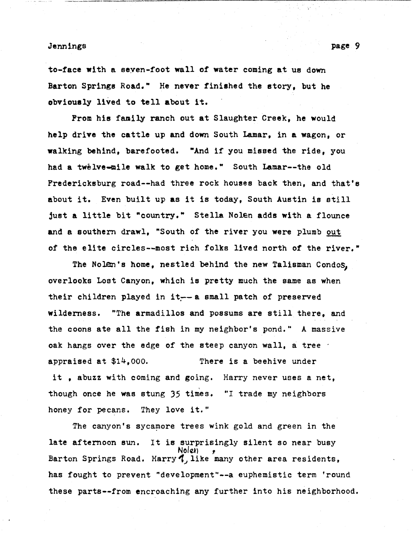to-face with a seven-foot wall of water coming at us down Barton Springs Road." He never finished the story, but he obviously lived to tell about it.

-~-----.,---------:----:::-:------:---,---~~.-~·-----

From his family ranch out at Slaughter Creek, he would help drive the cattle up and down South Lamar, in a wagon, or walking behind, barefooted. "And if you missed the ride, you had a twelve-mile walk to get home." South Lamar--the old Fredericksburg road--had three rock houses back then, and that's about it. Even built up as it is today, South Austin is still just a little bit "country." Stella Nolen adds with a flounce and a southern drawl, "South of the river you were plumb out of the elite circles--most rich folks lived north of the river.•

The Nolen's home, nestled behind the new Talisman Condos, overlooks Lost Canyon, which is pretty much the same as when their children played in it~-a small patch of preserved wilderness. "The armadillos and possums are still there, and the coons ate all the fish in my neighbor's pond." A massive oak hangs over the edge of the steep canyon wall, a tree appraised at \$14,ooo. There is a beehive under it , abuzz with coming and going. Harry never uses a net, though once he was stung 35 times. "I trade my neighbors honey for pecans. They love it."

The canyon's sycamore trees wink gold and green in the late afternoon sun. It is surprisingly silent so near busy<br>Noleh ,<br>Barton Springs Road. Harry 1., like many other area residents, has fought to prevent "development"--a euphemistic term 'round these parts--from encroaching any further into his neighborhood.

page 9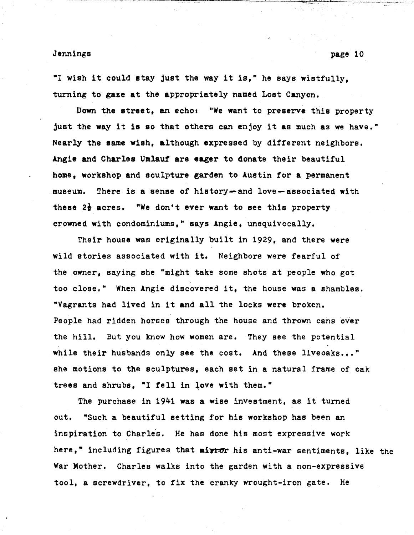"I wish it could stay just the way it is," he says wistfully. turning to gaze at the appropriately named Lost Canyon.

Down the street, an echo: "We want to preserve this property just the way it is so that others can enjoy it as much as we have." Nearly the same wish, although expressed by different neighbors. Angie and Charles Umlauf are eager to donate their beautiful home, workshop and sculpture garden to Austin for a permanent museum. There is a sense of history- and love- associated with these  $2\frac{1}{2}$  acres. "We don't ever want to see this property crowned with condominiums," says Angie, unequivocally.

Their house was originally built in 1929, and there were wild stories associated with it. Neighbors were fearful of the owner, saying she "might take some shots at people who got too close." When Angie discovered it, the house was a shambles. "Vagrants had lived in it and all the locks were broken. People had ridden horses through the house and thrown cans over the hill. But you know how women are. They see the potential while their husbands only see the cost. And these liveoaks..." she motions to the sculptures, each set in a natural frame of oak trees and shrubs, "I fell in love with them."

The purchase in 1941 was a wise investment, as it turned out. "Such a beautiful setting for his workshop has been an inspiration to Charles. He has done his most expressive work here," including figures that mirror his anti-war sentiments. like the War Mother. Charles walks into the garden with a non-expressive tool, a screwdriver, to fix the cranky wrought-iron gate. He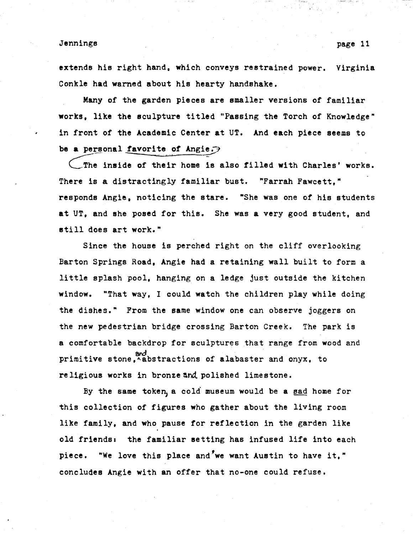extends his right hand, which conveys restrained power. Virginia Conkle had warned about his hearty handshake.

Many of the garden pieces are smaller versions of familiar works, like the sculpture titled "Passing the Torch of Knowledge" in front of the Academic Center at UT. And each piece seems to be a personal favorite of Angie. $\rightarrow$ 

 $\bigcup$  The inside of their home is also filled with Charles' works. There is a distractingly familiar bust. "Farrah Fawcett," responds Angie, noticing the stare. "She was one of his students at UT, and she posed for this. She was a very good student, and still does art work."

Since the house is perched right on the cliff overlooking Barton Springs Road, Angie had a retaining wall built to form a little splash pool, hanging on a ledge just outside the kitchen window. "That way, I could watch the children play while doing the dishes." From the same window one can observe joggers on the new pedestrian bridge crossing Barton Creek. The park is a comfortable backdrop for sculptures that range from wood and primitive stone, Abstractions of alabaster and onyx, to religious works in bronze and polished limestone.

By the same token, a cold museum would be a sad home for this collection of figures who gather about the living room like family, and who pause for reflection in the garden like old friends: the familiar setting has infused life into each piece. "We love this place and'we want Austin to have it," concludes Angie with an offer that no-one could refuse.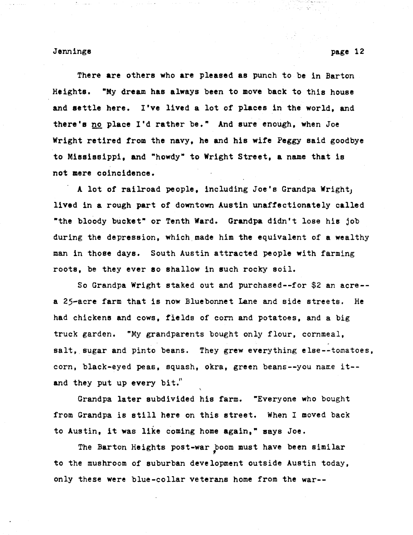There are others who are pleased as punch to be in Barton Heights. •My dream has always been to move back to this house and settle here. I've lived a lot of places in the world, and there's no place I'd rather be." And sure enough, when Joe Wright retired from the navy, he and hie wife Peggy said goodbye to Mississippi, and "howdy" to Wright Street, a name that is not mere coincidence.

A lot of railroad people, including Joe's Grandpa Wright, lived in a rough part of downtown Austin unaffectionately called "the bloody bucket" or Tenth Ward. Grandpa didn't lose his job during the depression, which.made him the equivalent of a wealthy man in those days. South Austin attracted people with farming roots, be they ever so shallow in such rocky soil.

So Grandpa Wright staked out and purchased--for \$2 an acre- a 25-acre farm that is now Bluebonnet Lane and side streets. He had chickens and cows, fields of corn and potatoes, and a big truck garden. "My grandparents bought only flour, cornmeal, salt, sugar and pinto beans. They grew everything else--tomatoes, corn, black-eyed peas, squash, okra, green beans--you name it-and they put up every bit.''

Grandpa later subdivided his farm. "Everyone who bought from Grandpa is still here on this street. When I moved back to Austin, it was like coming home again," says Joe.

The Barton Heights post-war boom must have been similar to the mushroom of suburban development outside Austin today, only these were blue-collar veterans home from the war--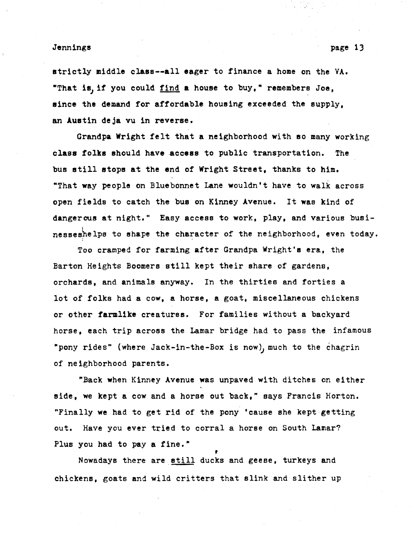strictly middle class--all eager to finance a home on the VA. "That is, if you could find a house to buy," remembers Joe, since the demand for affordable housing exceeded the supply, an Austin deja vu in reverse.

Grandpa Wright felt that a neighborhood with so many working class folks should have .access to public transportation. The bus still stops at the end of Wright Street, thanks to him. "That way people on Bluebonnet Lane wouldn't have to walk across open fields to catch the bus on Kinney Avenue. It was kind of dangerous at night." Easy access to work, play, and various businesseshelps to shape the character of the neighborhood, even today.

Too cramped for farming after Grandpa Wright's era, the Barton Heights Boomers still kept their share of gardens, orchards, and animals anyway. In the thirties and forties a lot of folks had a cow, a horse, a goat, miscellaneous chickens or other farmlike creatures. For families without a backyard horse, each trip across the Lamar bridge had to pass the infamous "pony rides" (where Jack-in-the-Box is now), much to the chagrin of neighborhood parents.

"Back when Kinney Avenue was unpaved with ditches on either side, we kept a cow and a horse out back," says Francis Horton. "Finally we had to get rid of the pony 'cause she kept-getting out. Have you ever tried to corral a horse on South Lamar? Plus you had to pay a fine."

Nowadays there are still ducks and geese, turkeys and chickens, goats and wild critters that slink and slither up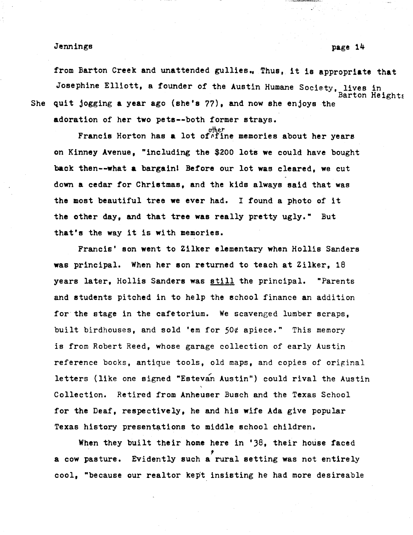from Barton Creek and unattended gullies., Thus, it is appropriate that Josephine Elliott, a founder of the Austin Humane Society, lives in She quit jogging a year ago (she's 77), and now she enjoys the  $\frac{1}{2}$  Barton Heights adoration of her two pets--both former strays.

other<br>Francis Horton has a lot of^fine memories about her years on Kinney Avenue, "including the \$200 lots we could have bought back then--what a bargainl Before our lot was cleared, we cut down a cedar for Christmas, and the kids always said that was the most beautiful tree we ever had. I found a photo of it the other day, and that tree was really pretty ugly." But that's the way it is with memories.

Francis' son went to Zilker elementary when Hollis Sanders was principal. When her son returned to teach at Zilker, 18 years later, Hollis Sanders was still the principal. "Parents and students pitched in to help the echool finance an addition for the stage in the cafetorium. We scavenged lumber scraps, built birdhouses, and sold 'em for 50¢ apiece." This memory is from Robert Reed, whose garage collection of early Austin reference books, antique tools, old maps, and copies of original letters {like one signed "Estevan Austin") could rival the Austin Collection. Retired from Anheuser Busch and the Texas School for the Deaf, respectively, he and his wife Ada give popular Texas history presentations to middle school children.

When they built their home here in '38, their house faced a cow pasture. Evidently such a rural setting was not entirely cool, "because our realtor kept insisting he had more desireable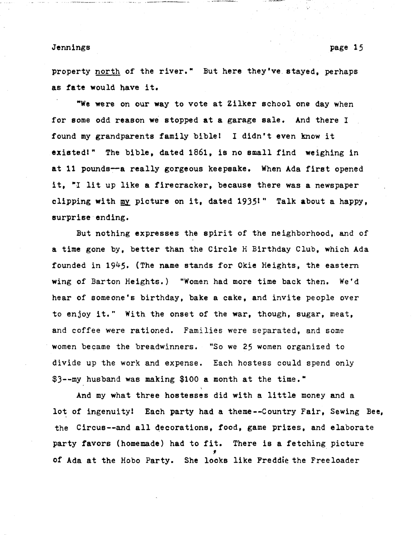property **north** of the river." But here they've stayed, perhaps as fate would nave it.

"We were on our way to vote at Zilker school one day when for some odd reason we stopped at a garage sale. And there I found my grandparents family biblel I didn't even know it existed!" The bible, dated 1861, is no small find weighing in at 11 pounds-a really gorgeous keepsake. When Ada first opened it, "I lit up like a firecracker, because there was a newspaper clipping with my picture on it, dated 1935!" Talk about a happy, surprise ending.

But nothing expresses the spirit of the neighborhood, and of a time gone by, better than the Circle H Birthday Club, which Ada founded in 1945. (The name stands for Okie Heights, the eastern wing of Barton Heights.) "Women had more time back then. We'd hear of someone's birthday, bake a cake, and invite people over to enjoy it." With the onset of the war, though, sugar, meat, and coffee were rationed. Families were separated, and some women became the breadwinners. "So we 25 women organized to divide up the work and expense. Each hostess could spend only \$3--my husband was making \$100 a month at the time."

And my what three hostesses did with a little money and a lot of ingenuity! Each party had a theme--Country Fair, Sewing Bee, the Circus--and all decorations, food, game prizes, and elaborate party favors (homemade) had to fit. There is a fetching picture  $\frac{1}{f}$ of Ada at the Hobo Party. She looks like Freddie the Freeloader

page 15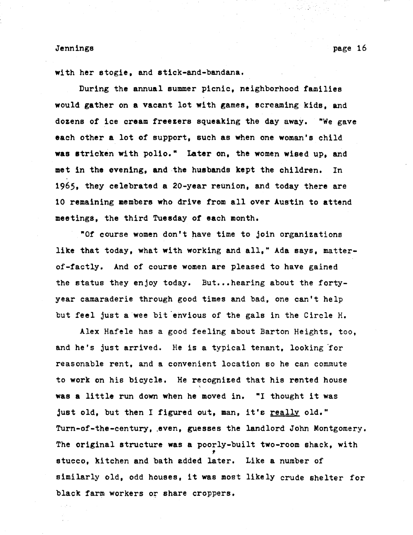with her stogie, and stick-and-bandana,

During the annual summer picnic, neighborhood families would gather on **a** vacant lot with games, screaming kids, and dozens of ice cream freezers squeaking the day away. "We gave each other a lot of support, such as when one woman's child **was** stricken with polio.• Later on, the women wised up, and met in the evening, and the husbands kept the children. In 1965, they celebrated a 20-year reunion, and today there are 10 remaining members who drive from all over Austin to attend meetings, the third Tuesday of each month.

"Of course women don't have time to join organizations like that today, what with working and all," Ada says, matterof-factly. And of course women are pleased to have gained the status they enjoy today. But...hearing about the fortyyear camaraderie through good times and bad, one can't help but feel just a wee bit envious of the gals in the Circle H.

Alex Hafele has a good feeling about Barton Heights, too, and he's just arrived. He is a typical tenant, looking for reasonable rent, and a convenient location so he can commute to work on his bicycle. He recognized that his rented house was a little run down when he moved in. "I thought it was just old, but then I figured out, man, it's really old." Turn-of-the-century, .even, guesses the landlord John Montgomery. The original structure was a poorly-built two-room shack, with  $\frac{1}{2}$ stucco, kitchen and bath added later. Like a number of similarly old, odd houses, it was most likely crude shelter for black farm workers or share croppers.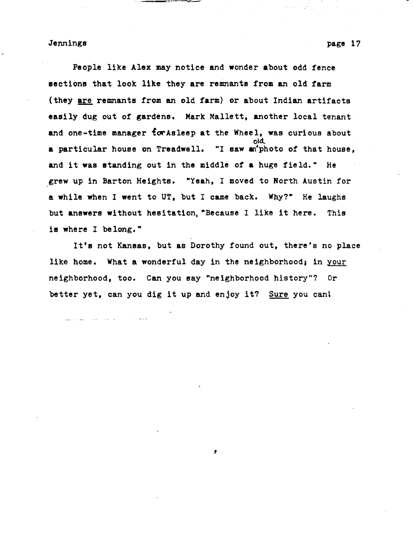People like Alex may notice and wonder about odd fence sections that look like they are remnants from an old tarm (they are remnants from an old farm) or about Indian artifacts easily dug out of gardens. Mark Mallett, another local tenant and one-time manager for Asleep at the Wheel, was curious about old a particular house on Treadwell. "I saw an'photo of that house, and it was standing out in the middle *ot* a huge field." He grew up in Barton Heights. "Yeah, I moved to North Austin for a while when I went to UT, but I came back. Why?" He laughs but answers without hesitation, "Because I like it here. This is where I belong."

---""--~-

It's not Kansas, but as Dorothy found out, there's no place like home. What a wonderful day in the neighborhood; in your neighborhood, too. Can you say "neighborhood history"? Or better yet, can you dig it up and enjoy it? Sure you cant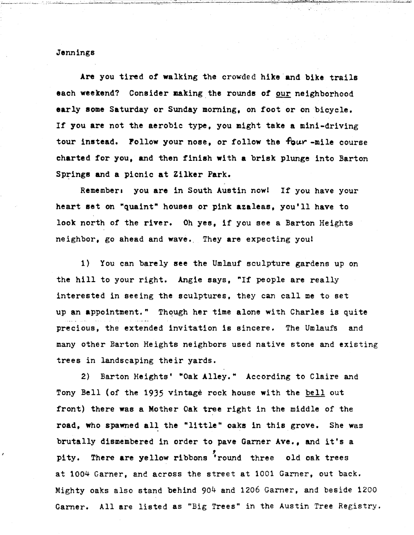Are you tired of walking the crowded hike and bike trails each weekend? Consider making the rounds of our neighborhood early some Saturday or Sunday morning, on foot or on bicycle. If you are not the aerobic type, you might take a mini-driving tour instead. Follow your nose, or follow the four -mile course charted for you, and then finish with a brisk plunge into Barton Springs and a picnic at Zilker Park.

Remember: you are in South Austin now! If you have your heart set on "quaint" houses or pink azaleas, you'll have to look north of the river. Oh yes, if you see a Barton Heights neighbor, go ahead and wave. They are expecting you!

1) You can barely see the Umlauf sculpture gardens up on the hill to your right. Angie says, "If people are really interested in seeing the sculptures, they can call me to set up an appointment." Though her time alone with Charles is quite precious, the extended invitation is sincere. The Umlaufs and many other Barton Heights neighbors used native stone and existing trees in landscaping their yards.

2) Barton Heights' "Oak Alley." According to Claire and Tony Bell (of the 1935 vintage rock house with the bell out front) there was a Mother Oak tree right in the middle of the road, who spawned all the "little" oaks in this grove. She was brutally dismembered in order to pave Garner Ave., and it's a , pity. There are yellow ribbons 'round three old oak trees at 1004 Garner, and across the street at 1001 Garner, out back. Mighty oaks also stand behind 904 and 1206 Garner, and beside 1200 Garner. All are listed as "Big Trees" in the Austin Tree Registry.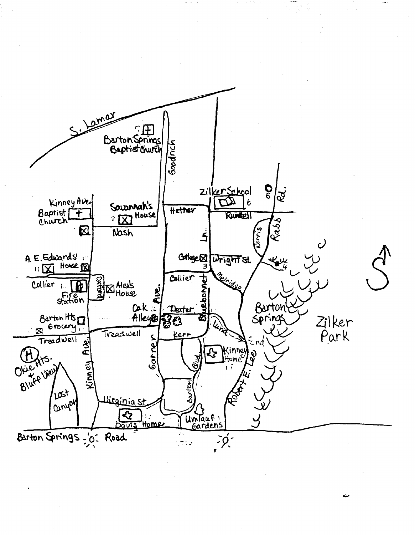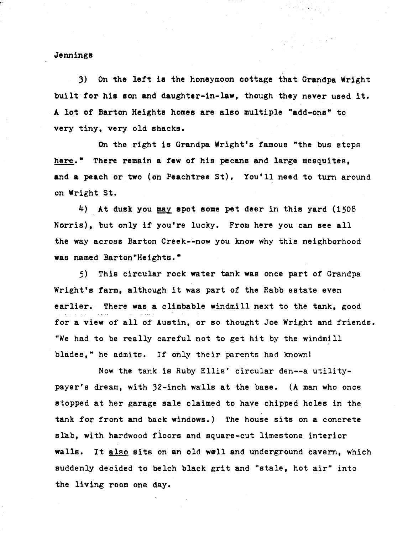3) On the left is the honeymoon cottage that Grandpa Wright built for his son and daughter-in-law, though they never used it. A lot of Barton Heights homes are also multiple "add-one" to very tiny, very old shacks.

On the right is Grandpa Wright's famous "the bus stops here." There remain a few of his pecans and large mesquites, and a peach or two (on Peachtree St). You'll need to turn around on Wright St.

4) At dusk you may spot some pet deer in this yard (1508 Norris), but only if you're lucky. From here you can see all the way across Barton Creek--now you know why this neighborhood was named Barton "Heights."

5) This circular rock water tank was once part of Grandpa Wright's farm, although it was part of the Rabb estate even earlier. There was a climbable windmill next to the tank, good for a view of all of Austin, or so thought Joe Wright and friends. "We had to be really careful not to get hit by the windmill blades," he admits. If only their parents had known!

Now the tank is Ruby Ellis' circular den--a utility $payer's$  dream, with  $32$ -inch walls at the base. (A man who once stopped at her garage sale claimed to have chipped holes in the tank for front and back windows.) The house sits on a concrete slab, with hardwood floors and square-cut limestone interior walls. It also sits on an old well and underground cavern, which suddenly decided to belch black grit and "stale, hot air" into the living room one day.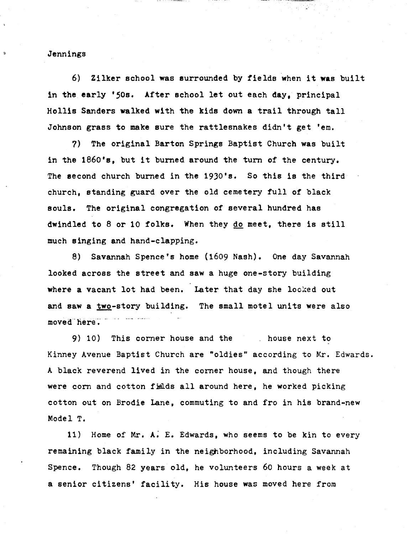6) Zilker school was surrounded by fields when it was built in the early '50s. After school let out each day, principal Hollis Sanders walked with the kids down a trail through tall Johnson grass to make sure the rattlesnakes didn't get 'em.

7) The original Barton Springs Baptist Church was built in the 1860's, but it burned around the turn of the century. The second church burned in the 1930's. So this is the third church, standing guard over the old cemetery full of black souls. The original congregation of several hundred has dwindled to 8 or 10 folks. When they do meet, there is still much singing and hand-clapping.

8) Savannah Spence's home (1609 Nash). One day Savannah looked across the street and saw a huge one-story building where a vacant lot had been. Later that day she looked out and saw a two-story building. The small motel units were also moved here.

9) 10) This corner house and the . house next to Kinney Avenue Baptist Church are "oldies" according to Mr. Edwards. A black reverend lived in the corner house, and though there were corn and cotton fields all around here, he worked picking cotton out on Brodie Lane, commuting to and fro in his brand-new Model T.

11) Home of Mr. A; E. Edwards, who seems to be kin to every remaining black family in the neighborhood, including Savannah Spence. Though 82 years old, he volunteers 60 hours a week at a senior citizens' facility. His house was moved here from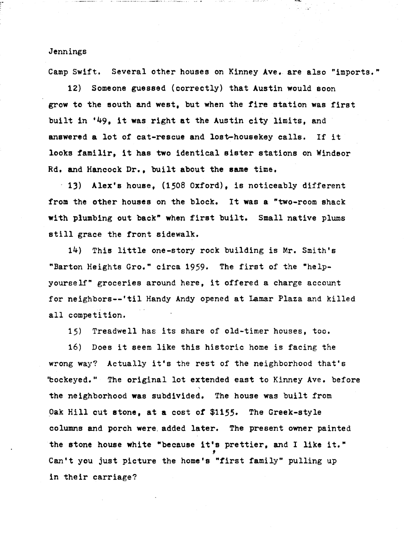,. '

Camp Swift. Several other houses on Kinney Ave. are also "imports."

12) Someone guessed (correctly) that Austin would soon grow to the south and west, but when the fire station was first built in '49, it was right at the Austin city limits, and answered a lot of cat-rescue and lost-housekey calls. If it looks familir, it has two identical sister stations on Windsor Rd, and Hancock Dr., built about the same time.

13) Alex's house, (1508 Oxford), is noticeably different from the other houses on the block. It was a "two-room shack with plumbing out back" when first built. Small native plums still grace the front sidewalk.

14) This little one-story rock building is Mr. Smith's "Barton Heights Gro." circa 1959. The first of the "helpyourself" groceries around here, it offered a charge account for neighbors--'til Handy Andy opened at Lamar Plaza and killed all competition.

15) Treadwell has its share of old-timer houses, too.

16) Does it seem like this historic home is facing the wrong way? Actually it's the rest of the neighborhood that's 'bockeyed." The original lot extended east to Kinney Ave. before the neighborhood was subdivided. The house was built from Oak Hill cut stone, at a cost of *\$1155·* The Greek-style columns and porch were. added later. The present owner painted the stone house white "because it's prettier, and I like it." Can't you just picture the home's "first family" pulling up in their carriage?